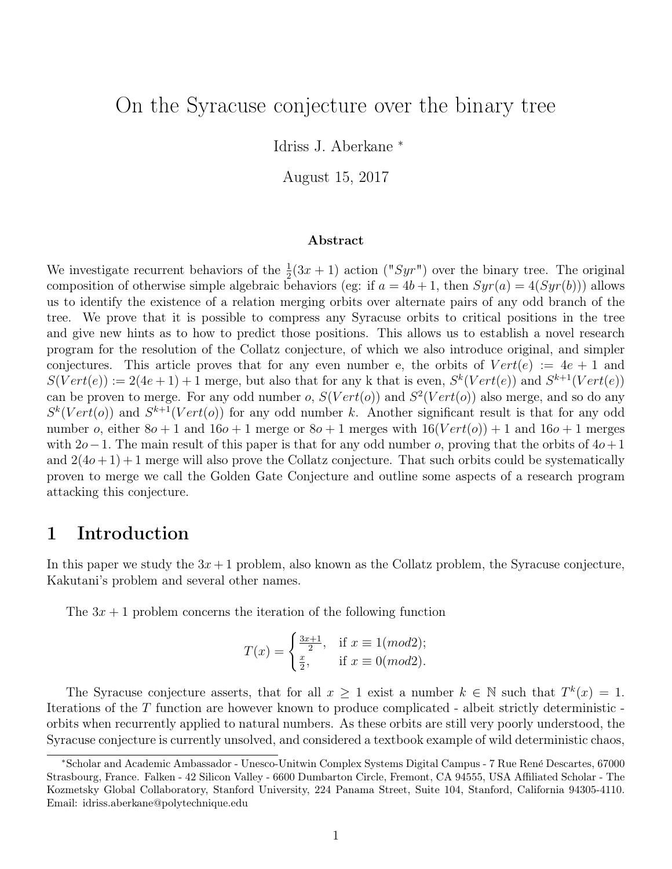# On the Syracuse conjecture over the binary tree

Idriss J. Aberkane <sup>∗</sup>

August 15, 2017

#### Abstract

We investigate recurrent behaviors of the  $\frac{1}{2}(3x+1)$  action ("Syr") over the binary tree. The original composition of otherwise simple algebraic behaviors (eg: if  $a = 4b + 1$ , then  $Syr(a) = 4(Syr(b))$ ) allows us to identify the existence of a relation merging orbits over alternate pairs of any odd branch of the tree. We prove that it is possible to compress any Syracuse orbits to critical positions in the tree and give new hints as to how to predict those positions. This allows us to establish a novel research program for the resolution of the Collatz conjecture, of which we also introduce original, and simpler conjectures. This article proves that for any even number e, the orbits of  $Vert(e) := 4e + 1$  and  $S(Vert(e)) := 2(4e+1)+1$  merge, but also that for any k that is even,  $S^k(Vert(e))$  and  $S^{k+1}(Vert(e))$ can be proven to merge. For any odd number o,  $S(Vert(o))$  and  $S^2(Vert(o))$  also merge, and so do any  $S^k(Vert)$  and  $S^{k+1}(Vert)$  for any odd number k. Another significant result is that for any odd number o, either  $8o + 1$  and  $16o + 1$  merge or  $8o + 1$  merges with  $16(Vert(o)) + 1$  and  $16o + 1$  merges with 2o−1. The main result of this paper is that for any odd number o, proving that the orbits of  $4o+1$ and  $2(4o+1)+1$  merge will also prove the Collatz conjecture. That such orbits could be systematically proven to merge we call the Golden Gate Conjecture and outline some aspects of a research program attacking this conjecture.

## 1 Introduction

In this paper we study the  $3x + 1$  problem, also known as the Collatz problem, the Syracuse conjecture, Kakutani's problem and several other names.

The  $3x + 1$  problem concerns the iteration of the following function

$$
T(x) = \begin{cases} \frac{3x+1}{2}, & \text{if } x \equiv 1 \pmod{2};\\ \frac{x}{2}, & \text{if } x \equiv 0 \pmod{2}. \end{cases}
$$

The Syracuse conjecture asserts, that for all  $x \geq 1$  exist a number  $k \in \mathbb{N}$  such that  $T^k(x) = 1$ . Iterations of the T function are however known to produce complicated - albeit strictly deterministic orbits when recurrently applied to natural numbers. As these orbits are still very poorly understood, the Syracuse conjecture is currently unsolved, and considered a textbook example of wild deterministic chaos,

<sup>∗</sup>Scholar and Academic Ambassador - Unesco-Unitwin Complex Systems Digital Campus - 7 Rue Ren´e Descartes, 67000 Strasbourg, France. Falken - 42 Silicon Valley - 6600 Dumbarton Circle, Fremont, CA 94555, USA Affiliated Scholar - The Kozmetsky Global Collaboratory, Stanford University, 224 Panama Street, Suite 104, Stanford, California 94305-4110. Email: idriss.aberkane@polytechnique.edu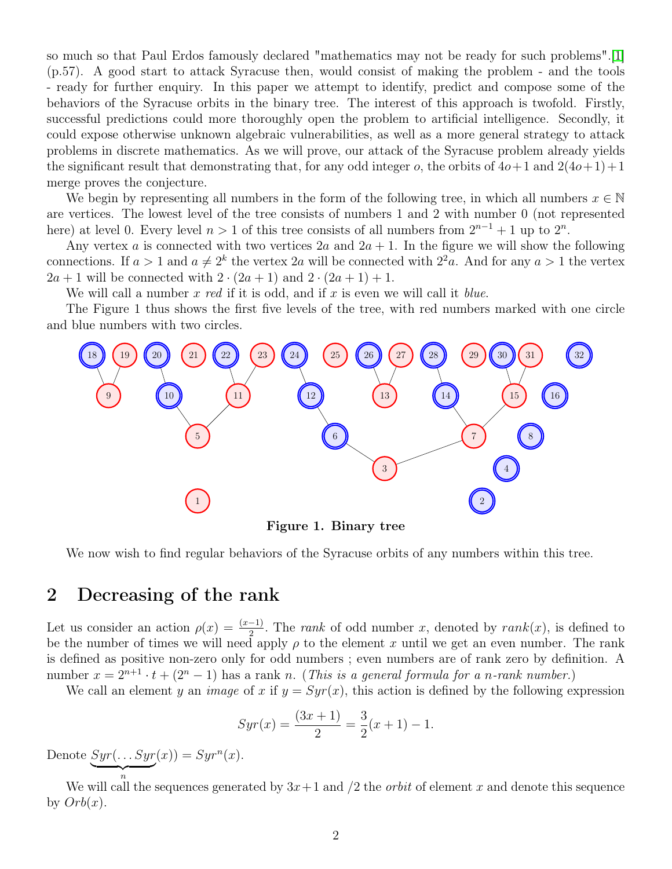so much so that Paul Erdos famously declared "mathematics may not be ready for such problems".[\[1\]](#page-14-0) (p.57). A good start to attack Syracuse then, would consist of making the problem - and the tools - ready for further enquiry. In this paper we attempt to identify, predict and compose some of the behaviors of the Syracuse orbits in the binary tree. The interest of this approach is twofold. Firstly, successful predictions could more thoroughly open the problem to artificial intelligence. Secondly, it could expose otherwise unknown algebraic vulnerabilities, as well as a more general strategy to attack problems in discrete mathematics. As we will prove, our attack of the Syracuse problem already yields the significant result that demonstrating that, for any odd integer o, the orbits of  $4o+1$  and  $2(4o+1)+1$ merge proves the conjecture.

We begin by representing all numbers in the form of the following tree, in which all numbers  $x \in \mathbb{N}$ are vertices. The lowest level of the tree consists of numbers 1 and 2 with number 0 (not represented here) at level 0. Every level  $n > 1$  of this tree consists of all numbers from  $2^{n-1} + 1$  up to  $2^n$ .

Any vertex a is connected with two vertices  $2a$  and  $2a + 1$ . In the figure we will show the following connections. If  $a > 1$  and  $a \neq 2^k$  the vertex 2a will be connected with  $2^2a$ . And for any  $a > 1$  the vertex  $2a + 1$  will be connected with  $2 \cdot (2a + 1)$  and  $2 \cdot (2a + 1) + 1$ .

We will call a number  $x \text{ red if it is odd, and if } x \text{ is even we will call it blue.}$ 

The Figure 1 thus shows the first five levels of the tree, with red numbers marked with one circle and blue numbers with two circles.



Figure 1. Binary tree

We now wish to find regular behaviors of the Syracuse orbits of any numbers within this tree.

### 2 Decreasing of the rank

Let us consider an action  $\rho(x) = \frac{(x-1)}{2}$ . The *rank* of odd number x, denoted by  $rank(x)$ , is defined to be the number of times we will need apply  $\rho$  to the element x until we get an even number. The rank is defined as positive non-zero only for odd numbers ; even numbers are of rank zero by definition. A number  $x = 2^{n+1} \cdot t + (2^n - 1)$  has a rank n. (This is a general formula for a n-rank number.)

We call an element y an *image* of x if  $y = Syr(x)$ , this action is defined by the following expression

$$
Syr(x) = \frac{(3x+1)}{2} = \frac{3}{2}(x+1) - 1.
$$

Denote  $Syr(\ldots Syr)$  $\overbrace{n}$  $f(x)) = Syr<sup>n</sup>(x).$ 

We will call the sequences generated by  $3x+1$  and  $/2$  the *orbit* of element x and denote this sequence by  $Orb(x)$ .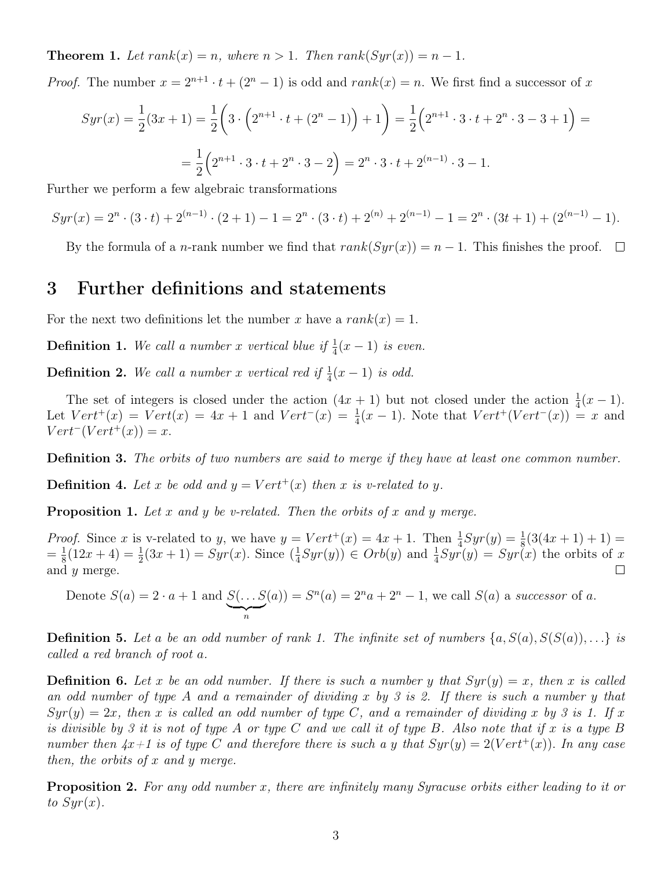**Theorem 1.** Let  $rank(x) = n$ , where  $n > 1$ . Then  $rank(Syr(x)) = n - 1$ .

*Proof.* The number  $x = 2^{n+1} \cdot t + (2^n - 1)$  is odd and  $rank(x) = n$ . We first find a successor of x

$$
Syr(x) = \frac{1}{2}(3x+1) = \frac{1}{2}\left(3\cdot\left(2^{n+1}\cdot t + (2^n - 1)\right) + 1\right) = \frac{1}{2}\left(2^{n+1}\cdot 3\cdot t + 2^n\cdot 3 - 3 + 1\right) =
$$

$$
= \frac{1}{2}\left(2^{n+1}\cdot 3\cdot t + 2^n\cdot 3 - 2\right) = 2^n\cdot 3\cdot t + 2^{(n-1)}\cdot 3 - 1.
$$

Further we perform a few algebraic transformations

$$
Syr(x) = 2n \cdot (3 \cdot t) + 2(n-1) \cdot (2+1) - 1 = 2n \cdot (3 \cdot t) + 2(n) + 2(n-1) - 1 = 2n \cdot (3t+1) + (2(n-1) - 1).
$$

By the formula of a *n*-rank number we find that  $rank(Syr(x)) = n - 1$ . This finishes the proof.  $\Box$ 

# 3 Further definitions and statements

For the next two definitions let the number x have a  $rank(x) = 1$ .

**Definition 1.** We call a number x vertical blue if  $\frac{1}{4}(x-1)$  is even.

**Definition 2.** We call a number x vertical red if  $\frac{1}{4}(x-1)$  is odd.

The set of integers is closed under the action  $(4x + 1)$  but not closed under the action  $\frac{1}{4}(x - 1)$ . Let  $Vert^+(x) = Vert(x) = 4x + 1$  and  $Vert^-(x) = \frac{1}{4}(x - 1)$ . Note that  $Vert^+(Vert^-(x)) = x$  and  $Vert^-(Vert^+(x)) = x.$ 

Definition 3. The orbits of two numbers are said to merge if they have at least one common number.

**Definition 4.** Let x be odd and  $y = Vert^+(x)$  then x is v-related to y.

<span id="page-2-0"></span>**Proposition 1.** Let x and y be v-related. Then the orbits of x and y merge.

*Proof.* Since x is v-related to y, we have  $y = Vert^+(x) = 4x + 1$ . Then  $\frac{1}{4}Syr(y) = \frac{1}{8}(3(4x + 1) + 1)$  $=\frac{1}{8}$  $\frac{1}{8}(12x+4) = \frac{1}{2}(3x+1) = Syr(x)$ . Since  $(\frac{1}{4})$  $\frac{1}{4}Syr(y)$   $\in Orb(y)$  and  $\frac{1}{4}Syr(y) = Syr(x)$  the orbits of x and y merge.  $\Box$ 

Denote 
$$
S(a) = 2 \cdot a + 1
$$
 and  $S(\dots S(a)) = S^n(a) = 2^n a + 2^n - 1$ , we call  $S(a)$  a successor of a.

**Definition 5.** Let a be an odd number of rank 1. The infinite set of numbers  $\{a, S(a), S(S(a)), \ldots\}$  is called a red branch of root a.

**Definition 6.** Let x be an odd number. If there is such a number y that  $Syr(y) = x$ , then x is called an odd number of type A and a remainder of dividing x by 3 is 2. If there is such a number y that  $Syr(y) = 2x$ , then x is called an odd number of type C, and a remainder of dividing x by 3 is 1. If x is divisible by 3 it is not of type A or type C and we call it of type B. Also note that if x is a type B number then  $4x+1$  is of type C and therefore there is such a y that  $Syr(y) = 2(Vert^+(x))$ . In any case then, the orbits of x and y merge.

**Proposition 2.** For any odd number x, there are infinitely many Syracuse orbits either leading to it or to  $Syr(x)$ .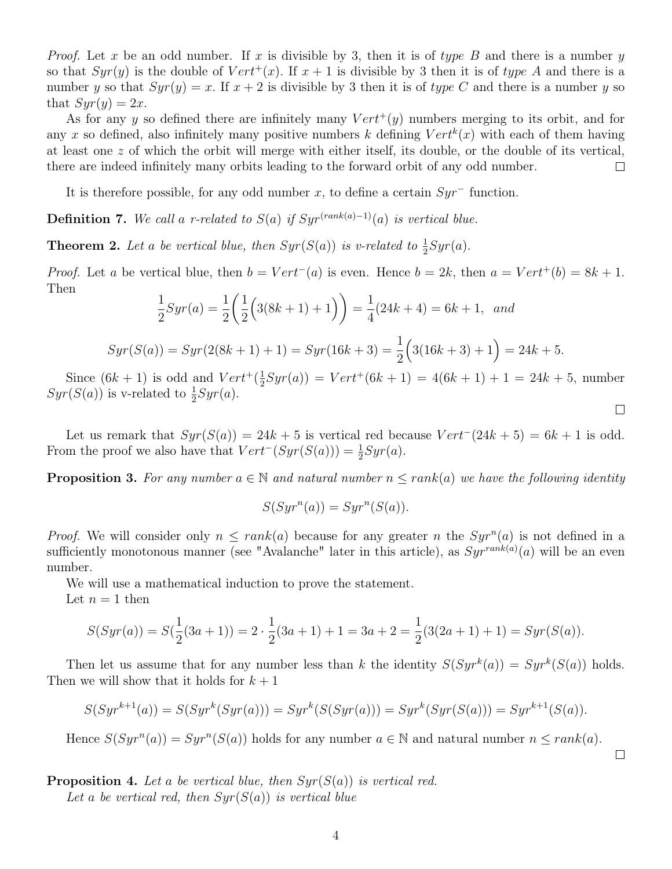*Proof.* Let x be an odd number. If x is divisible by 3, then it is of type B and there is a number y so that  $Syr(y)$  is the double of  $Vert^+(x)$ . If  $x + 1$  is divisible by 3 then it is of type A and there is a number y so that  $Syr(y) = x$ . If  $x + 2$  is divisible by 3 then it is of type C and there is a number y so that  $Syr(y) = 2x$ .

As for any y so defined there are infinitely many  $Vert(y)$  numbers merging to its orbit, and for any x so defined, also infinitely many positive numbers k defining  $Vert'(x)$  with each of them having at least one z of which the orbit will merge with either itself, its double, or the double of its vertical, there are indeed infinitely many orbits leading to the forward orbit of any odd number.  $\Box$ 

It is therefore possible, for any odd number x, to define a certain  $Syr^-$  function.

Definition 7. We call a r-related to  $S(a)$  if  $Syr^{(rank(a)-1)}(a)$  is vertical blue.

<span id="page-3-1"></span>**Theorem 2.** Let a be vertical blue, then  $Syr(S(a))$  is v-related to  $\frac{1}{2}Syr(a)$ .

*Proof.* Let a be vertical blue, then  $b = Vert^-(a)$  is even. Hence  $b = 2k$ , then  $a = Vert^+(b) = 8k + 1$ . Then

$$
\frac{1}{2}Syr(a) = \frac{1}{2}\left(\frac{1}{2}\left(3(8k+1)+1\right)\right) = \frac{1}{4}(24k+4) = 6k+1, \text{ and}
$$

$$
Syr(S(a)) = Syr(2(8k+1)+1) = Syr(16k+3) = \frac{1}{2}(3(16k+3)+1) = 24k+5.
$$

Since  $(6k + 1)$  is odd and  $Vert+(\frac{1}{2})$  $\frac{1}{2}Syr(a)$  =  $Vert^+(6k + 1) = 4(6k + 1) + 1 = 24k + 5$ , number  $Syr(S(a))$  is v-related to  $\frac{1}{2}Syr(a)$ .

Let us remark that  $Syr(S(a)) = 24k + 5$  is vertical red because  $Vert^{-}(24k + 5) = 6k + 1$  is odd. From the proof we also have that  $Vert'(Syr(S(a))) = \frac{1}{2}Syr(a)$ .

<span id="page-3-0"></span>**Proposition 3.** For any number  $a \in \mathbb{N}$  and natural number  $n \leq rank(a)$  we have the following identity

$$
S(Syr^n(a)) = Syr^n(S(a)).
$$

*Proof.* We will consider only  $n \leq rank(a)$  because for any greater n the  $Syr^n(a)$  is not defined in a sufficiently monotonous manner (see "Avalanche" later in this article), as  $Syr^{rank(a)}(a)$  will be an even number.

We will use a mathematical induction to prove the statement. Let  $n = 1$  then

$$
S(Syr(a)) = S(\frac{1}{2}(3a+1)) = 2 \cdot \frac{1}{2}(3a+1) + 1 = 3a+2 = \frac{1}{2}(3(2a+1)+1) = Syr(S(a)).
$$

Then let us assume that for any number less than k the identity  $S(Syr^k(a)) = Syr^k(S(a))$  holds. Then we will show that it holds for  $k + 1$ 

$$
S(Syr^{k+1}(a)) = S(Syr^k(Syr(a))) = Syr^k(S(Syr(a))) = Syr^k(Syr(S(a))) = Syr^{k+1}(S(a)).
$$

Hence  $S(Syr^n(a)) = Syr^n(S(a))$  holds for any number  $a \in \mathbb{N}$  and natural number  $n \le rank(a)$ .

**Proposition 4.** Let a be vertical blue, then  $Syr(S(a))$  is vertical red. Let a be vertical red, then  $Syr(S(a))$  is vertical blue

 $\Box$ 

 $\Box$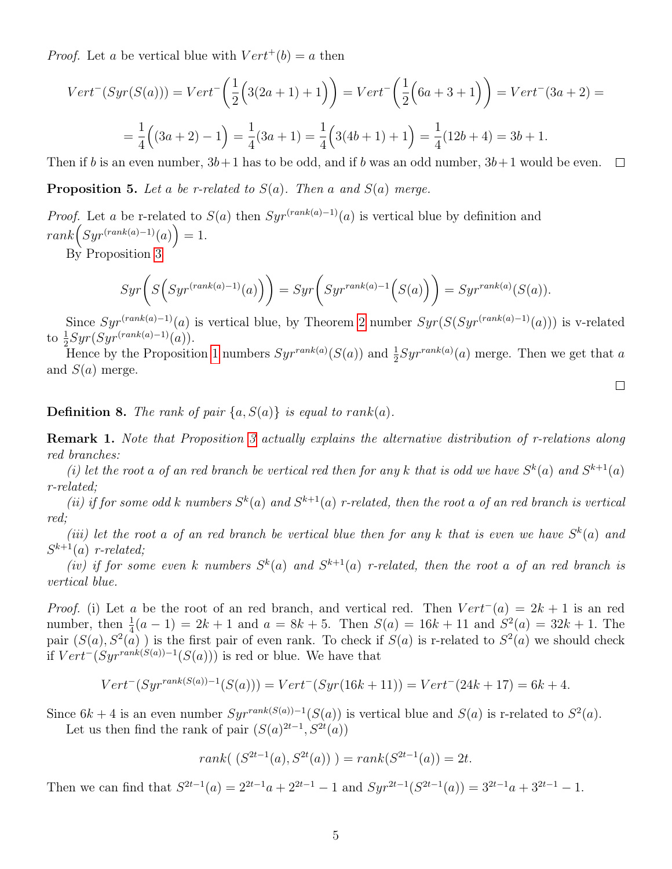*Proof.* Let a be vertical blue with  $Vert'(b) = a$  then

$$
Vert^{-}(Syr(S(a))) = Vert^{-}\left(\frac{1}{2}\left(3(2a+1)+1\right)\right) = Vert^{-}\left(\frac{1}{2}\left(6a+3+1\right)\right) = Vert^{-}(3a+2) =
$$

$$
= \frac{1}{4}\left((3a+2)-1\right) = \frac{1}{4}(3a+1) = \frac{1}{4}\left(3(4b+1)+1\right) = \frac{1}{4}(12b+4) = 3b+1.
$$

Then if b is an even number,  $3b+1$  has to be odd, and if b was an odd number,  $3b+1$  would be even.  $\Box$ 

<span id="page-4-1"></span>**Proposition 5.** Let a be r-related to  $S(a)$ . Then a and  $S(a)$  merge.

*Proof.* Let a be r-related to  $S(a)$  then  $Syr^{(rank(a)-1)}(a)$  is vertical blue by definition and  $rank(Syr^{(rank(a)-1)}(a)) = 1.$ 

By Proposition [3](#page-3-0)

$$
Syr\bigg(S\Big(Syr^{(rank(a)-1)}(a)\Big)\bigg) = Syr\bigg(Syr^{rank(a)-1}\Big(S(a)\Big)\bigg) = Syr^{rank(a)}(S(a)).
$$

Since  $Syr^{(rank(a)-1)}(a)$  is vertical blue, by Theorem [2](#page-3-1) number  $Syr(S(Syr^{(rank(a)-1)}(a)))$  is v-related to  $\frac{1}{2}Syr(Syr^{(rank(a)-1)}(a)).$ 

Hence by the Proposition [1](#page-2-0) numbers  $Syr^{rank(a)}(S(a))$  and  $\frac{1}{2}Syr^{rank(a)}(a)$  merge. Then we get that a and  $S(a)$  merge.

 $\Box$ 

**Definition 8.** The rank of pair  $\{a, S(a)\}\$ is equal to rank $(a)$ .

<span id="page-4-0"></span>Remark 1. Note that Proposition [3](#page-3-0) actually explains the alternative distribution of r-relations along red branches:

(i) let the root a of an red branch be vertical red then for any k that is odd we have  $S^k(a)$  and  $S^{k+1}(a)$ r-related;

(ii) if for some odd k numbers  $S^k(a)$  and  $S^{k+1}(a)$  r-related, then the root a of an red branch is vertical red;

(iii) let the root a of an red branch be vertical blue then for any k that is even we have  $S^k(a)$  and  $S^{k+1}(a)$  r-related;

(iv) if for some even k numbers  $S^k(a)$  and  $S^{k+1}(a)$  r-related, then the root a of an red branch is vertical blue.

*Proof.* (i) Let a be the root of an red branch, and vertical red. Then  $Vert'(a) = 2k + 1$  is an red number, then  $\frac{1}{4}(a-1) = 2k+1$  and  $a = 8k+5$ . Then  $S(a) = 16k+11$  and  $S^2(a) = 32k+1$ . The pair  $(S(a), S^2(a))$  is the first pair of even rank. To check if  $S(a)$  is r-related to  $S^2(a)$  we should check if  $Vert'(Syr^{rank(S(a))-1}(S(a)))$  is red or blue. We have that

$$
Vert^{-}(Syr^{rank(S(a))-1}(S(a))) = Vert^{-}(Syr(16k+11)) = Vert^{-}(24k+17) = 6k+4.
$$

Since  $6k + 4$  is an even number  $Syr^{rank(S(a))-1}(S(a))$  is vertical blue and  $S(a)$  is r-related to  $S^2(a)$ .

Let us then find the rank of pair  $(S(a)^{2t-1}, S^{2t}(a))$ 

rank(
$$
(S^{2t-1}(a), S^{2t}(a))
$$
) = rank( $S^{2t-1}(a)$ ) = 2t.

Then we can find that  $S^{2t-1}(a) = 2^{2t-1}a + 2^{2t-1} - 1$  and  $Syr^{2t-1}(S^{2t-1}(a)) = 3^{2t-1}a + 3^{2t-1} - 1$ .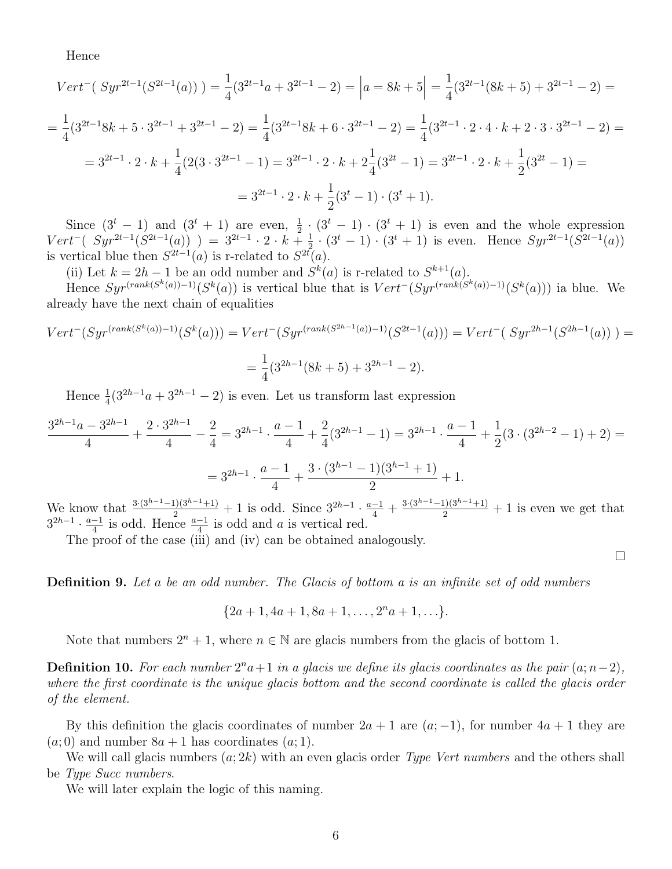Hence

$$
Vert^{-}(Syr^{2t-1}(S^{2t-1}(a))) = \frac{1}{4}(3^{2t-1}a + 3^{2t-1} - 2) = |a = 8k + 5| = \frac{1}{4}(3^{2t-1}(8k+5) + 3^{2t-1} - 2) =
$$
  
\n
$$
= \frac{1}{4}(3^{2t-1}8k+5 \cdot 3^{2t-1} + 3^{2t-1} - 2) = \frac{1}{4}(3^{2t-1}8k+6 \cdot 3^{2t-1} - 2) = \frac{1}{4}(3^{2t-1} \cdot 2 \cdot 4 \cdot k + 2 \cdot 3 \cdot 3^{2t-1} - 2) =
$$
  
\n
$$
= 3^{2t-1} \cdot 2 \cdot k + \frac{1}{4}(2(3 \cdot 3^{2t-1} - 1) = 3^{2t-1} \cdot 2 \cdot k + 2\frac{1}{4}(3^{2t} - 1) = 3^{2t-1} \cdot 2 \cdot k + \frac{1}{2}(3^{2t} - 1) =
$$
  
\n
$$
= 3^{2t-1} \cdot 2 \cdot k + \frac{1}{2}(3^t - 1) \cdot (3^t + 1).
$$

Since  $(3^t - 1)$  and  $(3^t + 1)$  are even,  $\frac{1}{2} \cdot (3^t - 1) \cdot (3^t + 1)$  is even and the whole expression  $Vert^-(Syr^{2t-1}(S^{2t-1}(a))) = 3^{2t-1} \cdot 2 \cdot k + \frac{1}{2}$  $\frac{1}{2} \cdot (3^t - 1) \cdot (3^t + 1)$  is even. Hence  $Syr^{2t-1}(S^{2t-1}(a))$ is vertical blue then  $S^{2t-1}(a)$  is r-related to  $S^{2t}(a)$ .

(ii) Let  $k = 2h - 1$  be an odd number and  $S^k(a)$  is r-related to  $S^{k+1}(a)$ .

Hence  $Syr^{(rank(S^k(a))-1)}(S^k(a))$  is vertical blue that is  $Vert^{-(}Syr^{(rank(S^k(a))-1)}(S^k(a)))$  ia blue. We already have the next chain of equalities

$$
Vert^{-}(Syr^{(rank(S^{k}(a))-1)}(S^{k}(a))) = Vert^{-}(Syr^{(rank(S^{2h-1}(a))-1)}(S^{2t-1}(a))) = Vert^{-}(Syr^{2h-1}(S^{2h-1}(a))) =
$$
  
= 
$$
\frac{1}{4}(3^{2h-1}(8k+5) + 3^{2h-1} - 2).
$$

Hence  $\frac{1}{4}(3^{2h-1}a+3^{2h-1}-2)$  is even. Let us transform last expression

$$
\frac{3^{2h-1}a - 3^{2h-1}}{4} + \frac{2 \cdot 3^{2h-1}}{4} - \frac{2}{4} = 3^{2h-1} \cdot \frac{a-1}{4} + \frac{2}{4}(3^{2h-1} - 1) = 3^{2h-1} \cdot \frac{a-1}{4} + \frac{1}{2}(3 \cdot (3^{2h-2} - 1) + 2) =
$$
  
=  $3^{2h-1} \cdot \frac{a-1}{4} + \frac{3 \cdot (3^{h-1} - 1)(3^{h-1} + 1)}{2} + 1.$ 

We know that  $\frac{3\cdot(3^{h-1}-1)(3^{h-1}+1)}{2}+1$  is odd. Since  $3^{2h-1}\cdot\frac{a-1}{4}+\frac{3\cdot(3^{h-1}-1)(3^{h-1}+1)}{2}+1$  is even we get that  $3^{2h-1} \cdot \frac{a-1}{4}$  $\frac{-1}{4}$  is odd. Hence  $\frac{a-1}{4}$  is odd and *a* is vertical red.

 $\Box$ 

The proof of the case (iii) and (iv) can be obtained analogously.

**Definition 9.** Let a be an odd number. The Glacis of bottom a is an infinite set of odd numbers

$$
\{2a+1, 4a+1, 8a+1, \ldots, 2^n a+1, \ldots\}.
$$

Note that numbers  $2^n + 1$ , where  $n \in \mathbb{N}$  are glacis numbers from the glacis of bottom 1.

**Definition 10.** For each number  $2^n a+1$  in a glacis we define its glacis coordinates as the pair  $(a; n-2)$ , where the first coordinate is the unique glacis bottom and the second coordinate is called the glacis order of the element.

By this definition the glacis coordinates of number  $2a + 1$  are  $(a, -1)$ , for number  $4a + 1$  they are  $(a, 0)$  and number  $8a + 1$  has coordinates  $(a, 1)$ .

We will call glacis numbers  $(a; 2k)$  with an even glacis order *Type Vert numbers* and the others shall be Type Succ numbers.

We will later explain the logic of this naming.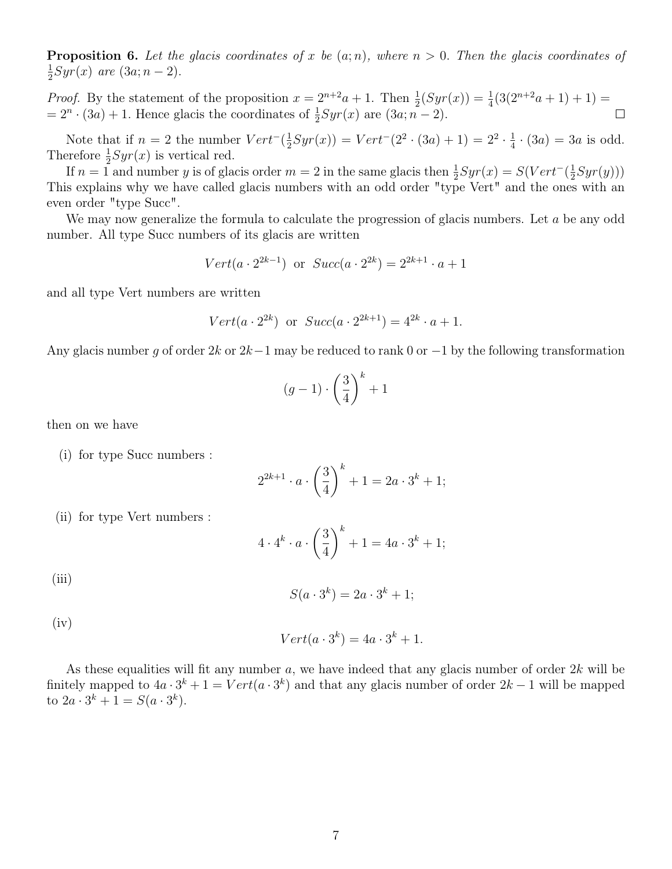**Proposition 6.** Let the glacis coordinates of x be  $(a; n)$ , where  $n > 0$ . Then the glacis coordinates of 1  $\frac{1}{2}Syr(x)$  are  $(3a; n-2)$ .

*Proof.* By the statement of the proposition  $x = 2^{n+2}a + 1$ . Then  $\frac{1}{2}(Syr(x)) = \frac{1}{4}(3(2^{n+2}a + 1) + 1)$  $= 2^n \cdot (3a) + 1$ . Hence glacis the coordinates of  $\frac{1}{2} Syr(x)$  are  $(3a; n-2)$ .  $\Box$ 

Note that if  $n = 2$  the number  $Vert^{-1}(\frac{1}{2})$  $\frac{1}{2}Syr(x)) = Vert^-(2^2 \cdot (3a) + 1) = 2^2 \cdot \frac{1}{4}$  $\frac{1}{4} \cdot (3a) = 3a$  is odd. Therefore  $\frac{1}{2}Syr(x)$  is vertical red.

If  $n = 1$  and number y is of glacis order  $m = 2$  in the same glacis then  $\frac{1}{2}Syr(x) = S(Vert^{-}(\frac{1}{2})$  $\frac{1}{2}Syr(y))$ This explains why we have called glacis numbers with an odd order "type Vert" and the ones with an even order "type Succ".

We may now generalize the formula to calculate the progression of glacis numbers. Let  $a$  be any odd number. All type Succ numbers of its glacis are written

$$
Vert(a \cdot 2^{2k-1})
$$
 or  $Succ(a \cdot 2^{2k}) = 2^{2k+1} \cdot a + 1$ 

and all type Vert numbers are written

$$
Vert(a \cdot 2^{2k})
$$
 or  $Succ(a \cdot 2^{2k+1}) = 4^{2k} \cdot a + 1$ .

Any glacis number q of order  $2k$  or  $2k-1$  may be reduced to rank 0 or  $-1$  by the following transformation

$$
(g-1)\cdot\left(\frac{3}{4}\right)^k+1
$$

then on we have

(i) for type Succ numbers :

$$
2^{2k+1} \cdot a \cdot \left(\frac{3}{4}\right)^k + 1 = 2a \cdot 3^k + 1;
$$

(ii) for type Vert numbers :

$$
4 \cdot 4^k \cdot a \cdot \left(\frac{3}{4}\right)^k + 1 = 4a \cdot 3^k + 1;
$$

(iii)

$$
S(a \cdot 3^k) = 2a \cdot 3^k + 1;
$$

 $(iv)$ 

$$
Vert(a \cdot 3^k) = 4a \cdot 3^k + 1.
$$

As these equalities will fit any number  $a$ , we have indeed that any glacis number of order  $2k$  will be finitely mapped to  $4a \cdot 3^k + 1 = Vert(a \cdot 3^k)$  and that any glacis number of order  $2k - 1$  will be mapped to  $2a \cdot 3^k + 1 = S(a \cdot 3^k)$ .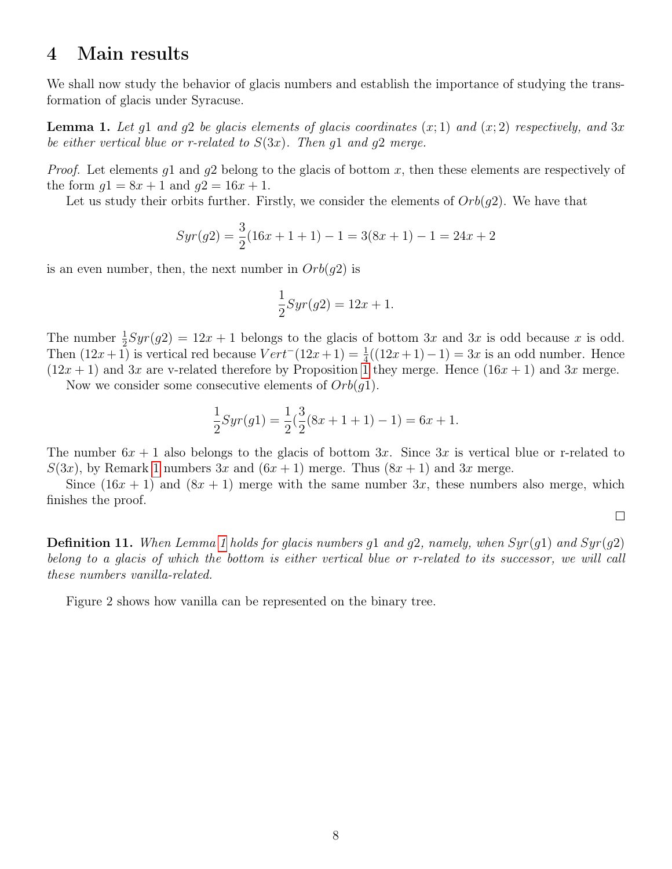# 4 Main results

We shall now study the behavior of glacis numbers and establish the importance of studying the transformation of glacis under Syracuse.

<span id="page-7-0"></span>**Lemma 1.** Let q1 and q2 be glacis elements of glacis coordinates  $(x; 1)$  and  $(x; 2)$  respectively, and 3x be either vertical blue or r-related to  $S(3x)$ . Then g1 and g2 merge.

*Proof.* Let elements q1 and q2 belong to the glacis of bottom x, then these elements are respectively of the form  $g1 = 8x + 1$  and  $g2 = 16x + 1$ .

Let us study their orbits further. Firstly, we consider the elements of  $Orb(q2)$ . We have that

$$
Syr(g2) = \frac{3}{2}(16x + 1 + 1) - 1 = 3(8x + 1) - 1 = 24x + 2
$$

is an even number, then, the next number in  $Orb(q2)$  is

$$
\frac{1}{2}Syr(g2) = 12x + 1.
$$

The number  $\frac{1}{2}Syr(g2) = 12x + 1$  belongs to the glacis of bottom 3x and 3x is odd because x is odd. Then  $(12x+1)$  is vertical red because  $Vert'(12x+1) = \frac{1}{4}((12x+1)-1) = 3x$  is an odd number. Hence  $(12x + 1)$  $(12x + 1)$  $(12x + 1)$  and 3x are v-related therefore by Proposition 1 they merge. Hence  $(16x + 1)$  and 3x merge.

Now we consider some consecutive elements of  $Orb(g1)$ .

$$
\frac{1}{2}Syr(g1) = \frac{1}{2}(\frac{3}{2}(8x+1+1)-1) = 6x+1.
$$

The number  $6x + 1$  also belongs to the glacis of bottom 3x. Since 3x is vertical blue or r-related to  $S(3x)$ , by Remark [1](#page-4-0) numbers 3x and  $(6x+1)$  merge. Thus  $(8x+1)$  and 3x merge.

Since  $(16x + 1)$  and  $(8x + 1)$  merge with the same number 3x, these numbers also merge, which finishes the proof.

 $\Box$ 

**Definition [1](#page-7-0)1.** When Lemma 1 holds for glacis numbers g1 and g2, namely, when  $Syr(q1)$  and  $Syr(q2)$ belong to a glacis of which the bottom is either vertical blue or r-related to its successor, we will call these numbers vanilla-related.

Figure 2 shows how vanilla can be represented on the binary tree.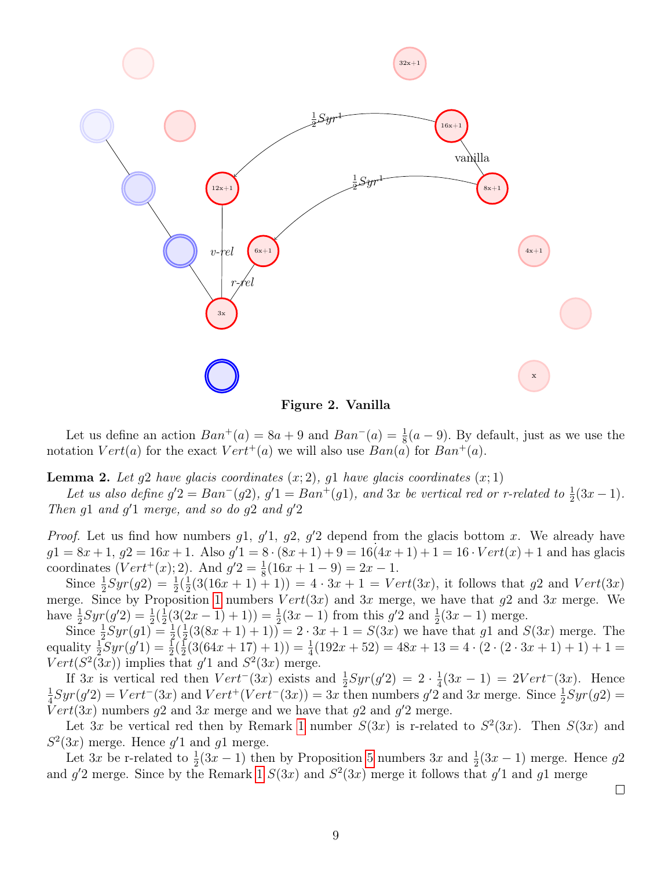

Figure 2. Vanilla

Let us define an action  $Ban^+(a) = 8a + 9$  and  $Ban^-(a) = \frac{1}{8}(a - 9)$ . By default, just as we use the notation  $Vert(a)$  for the exact  $Vert^+(a)$  we will also use  $Ban(a)$  for  $Ban^+(a)$ .

<span id="page-8-0"></span>**Lemma 2.** Let  $g2$  have glacis coordinates  $(x; 2)$ ,  $g1$  have glacis coordinates  $(x; 1)$ 

Let us also define  $g'2 = Ban^{-}(g2)$ ,  $g'1 = Ban^{+}(g1)$ , and 3x be vertical red or r-related to  $\frac{1}{2}(3x-1)$ . Then  $g1$  and  $g'1$  merge, and so do  $g2$  and  $g'2$ 

*Proof.* Let us find how numbers  $g_1$ ,  $g'_1$ ,  $g_2$ ,  $g'_2$  depend from the glacis bottom x. We already have  $g1 = 8x + 1, g2 = 16x + 1.$  Also  $g'1 = 8 \cdot (8x + 1) + 9 = 16(4x + 1) + 1 = 16 \cdot Vert(x) + 1$  and has glacis coordinates  $(Vert^+(x); 2)$ . And  $g'2 = \frac{1}{8}(16x + 1 - 9) = 2x - 1$ .

Since  $\frac{1}{2}Syr(g2) = \frac{1}{2}(\frac{1}{2})$  $\frac{1}{2}(3(16x+1)+1)) = 4 \cdot 3x + 1 = Vert(3x)$ , it follows that g2 and  $Vert(3x)$ merge. Since by Proposition [1](#page-2-0) numbers  $Vert(3x)$  and  $3x$  merge, we have that g2 and  $3x$  merge. We have  $\frac{1}{2}Syr(g'2) = \frac{1}{2}(\frac{1}{2})$  $\frac{1}{2}(3(2x-1)+1)) = \frac{1}{2}(3x-1)$  from this  $g'2$  and  $\frac{1}{2}(3x-1)$  merge.

Since  $\frac{1}{2}Syr(g1) = \frac{1}{2}(\frac{1}{2})$  $\frac{1}{2}(3(8x+1)+1)) = 2 \cdot 3x + 1 = S(3x)$  we have that g1 and  $S(3x)$  merge. The equality  $\frac{1}{2}Syr(g'1) = \frac{1}{2}(\frac{1}{2})$  $\frac{1}{2}(3(64x+17)+1)) = \frac{1}{4}(192x+52) = 48x+13 = 4\cdot(2\cdot(2\cdot3x+1)+1) + 1 =$  $Vert(S^2(3x))$  implies that g'1 and  $S^2(3x)$  merge.

If 3x is vertical red then  $Vert^-(3x)$  exists and  $\frac{1}{2}Syr(g'2) = 2 \cdot \frac{1}{4}$  $\frac{1}{4}(3x-1) = 2Vert^{-}(3x)$ . Hence 1  $\frac{1}{4}Syr(g'2) = Vert^-(3x)$  and  $Vert^+(Vert^-(3x)) = 3x$  then numbers  $g'2$  and  $3x$  merge. Since  $\frac{1}{2}Syr(g2) =$  $Vert(3x)$  numbers g2 and 3x merge and we have that g2 and g'2 merge.

Let 3x be vertical red then by Remark [1](#page-4-0) number  $S(3x)$  is r-related to  $S^2(3x)$ . Then  $S(3x)$  and  $S<sup>2</sup>(3x)$  merge. Hence  $g'1$  and  $g1$  merge.

Let  $3x$  be r-related to  $\frac{1}{2}(3x-1)$  then by Proposition [5](#page-4-1) numbers  $3x$  and  $\frac{1}{2}(3x-1)$  merge. Hence  $g2$ and  $g'2$  merge. Since by the Remark [1](#page-4-0)  $S(3x)$  and  $S^2(3x)$  merge it follows that  $g'1$  and  $g1$  merge

 $\Box$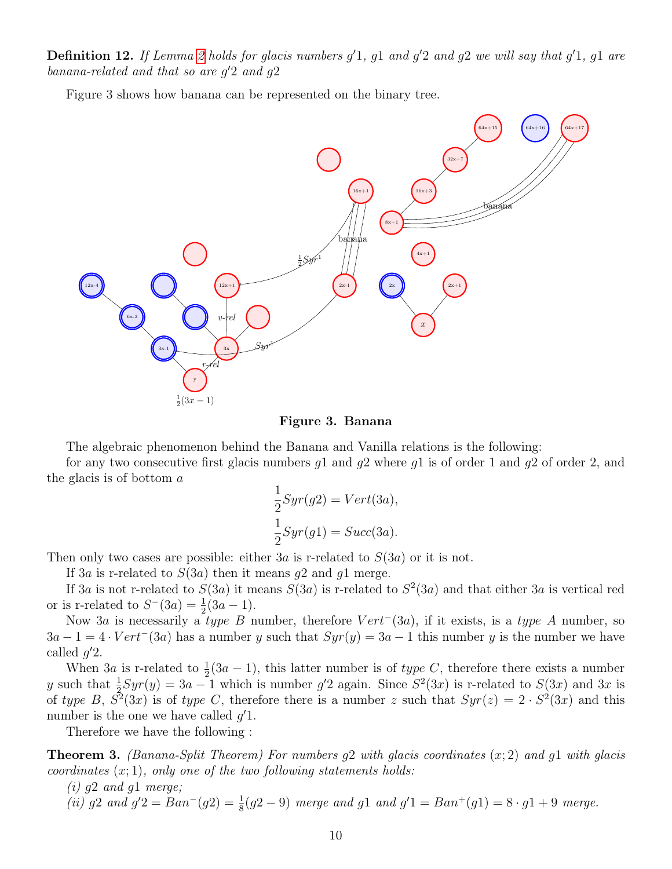**Definition 12.** If Lemma [2](#page-8-0) holds for glacis numbers  $g'1$ ,  $g1$  and  $g'2$  and  $g2$  we will say that  $g'1$ ,  $g1$  are banana-related and that so are  $g'2$  and  $g2$ 

Figure 3 shows how banana can be represented on the binary tree.



#### Figure 3. Banana

The algebraic phenomenon behind the Banana and Vanilla relations is the following:

for any two consecutive first glacis numbers  $q_1$  and  $q_2$  where  $q_1$  is of order 1 and  $q_2$  of order 2, and the glacis is of bottom a

$$
\frac{1}{2}Syr(g2) = Vert(3a),
$$
  

$$
\frac{1}{2}Syr(g1) = Succ(3a).
$$

Then only two cases are possible: either  $3a$  is r-related to  $S(3a)$  or it is not.

If 3a is r-related to  $S(3a)$  then it means g2 and g1 merge.

If 3a is not r-related to  $S(3a)$  it means  $S(3a)$  is r-related to  $S^2(3a)$  and that either 3a is vertical red or is r-related to  $S^{-}(3a) = \frac{1}{2}(3a - 1)$ .

Now 3a is necessarily a type B number, therefore  $Vert^-(3a)$ , if it exists, is a type A number, so  $3a-1=4\cdot Vert^-(3a)$  has a number y such that  $Syr(y)=3a-1$  this number y is the number we have called  $g'2$ .

When 3*a* is r-related to  $\frac{1}{2}(3a-1)$ , this latter number is of type C, therefore there exists a number y such that  $\frac{1}{2}Syr(y) = 3a - 1$  which is number g'2 again. Since  $S^2(3x)$  is r-related to  $S(3x)$  and 3x is of type B,  $S^2(3x)$  is of type C, therefore there is a number z such that  $Syr(z) = 2 \cdot S^2(3x)$  and this number is the one we have called  $g'1$ .

Therefore we have the following :

**Theorem 3.** (Banana-Split Theorem) For numbers  $g2$  with glacis coordinates  $(x; 2)$  and  $g1$  with glacis coordinates  $(x; 1)$ , only one of the two following statements holds:

 $(i)$  g2 and g1 merge;

(ii) g2 and  $g'2 = Ban^{-}(g2) = \frac{1}{8}(g2 - 9)$  merge and g1 and  $g'1 = Ban^{+}(g1) = 8 \cdot g1 + 9$  merge.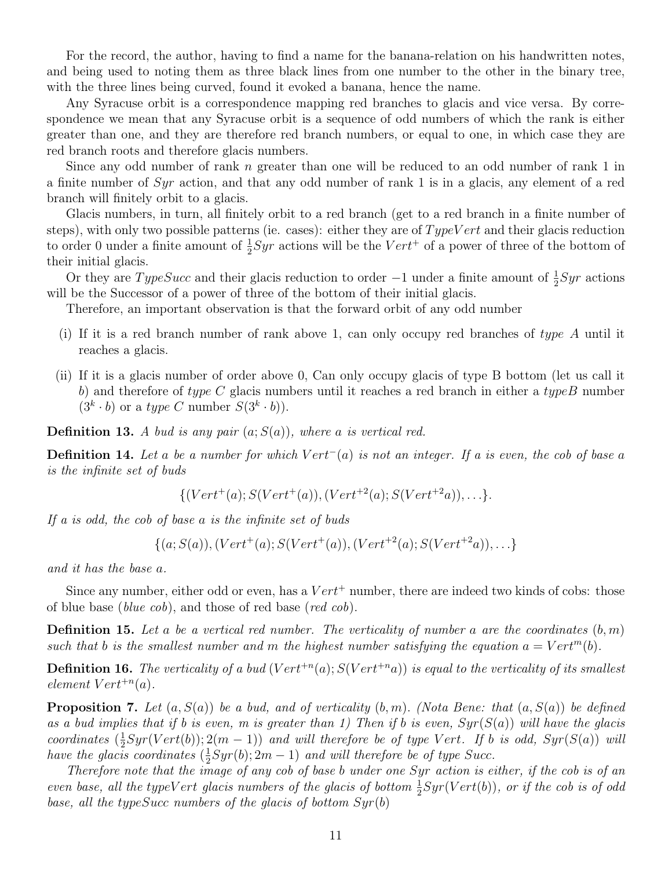For the record, the author, having to find a name for the banana-relation on his handwritten notes, and being used to noting them as three black lines from one number to the other in the binary tree, with the three lines being curved, found it evoked a banana, hence the name.

Any Syracuse orbit is a correspondence mapping red branches to glacis and vice versa. By correspondence we mean that any Syracuse orbit is a sequence of odd numbers of which the rank is either greater than one, and they are therefore red branch numbers, or equal to one, in which case they are red branch roots and therefore glacis numbers.

Since any odd number of rank  $n$  greater than one will be reduced to an odd number of rank 1 in a finite number of Syr action, and that any odd number of rank 1 is in a glacis, any element of a red branch will finitely orbit to a glacis.

Glacis numbers, in turn, all finitely orbit to a red branch (get to a red branch in a finite number of steps), with only two possible patterns (ie. cases): either they are of  $TypeVert$  and their glacis reduction to order 0 under a finite amount of  $\frac{1}{2}Syr$  actions will be the  $Vert^+$  of a power of three of the bottom of their initial glacis.

Or they are  $TypeSucc$  and their glacis reduction to order  $-1$  under a finite amount of  $\frac{1}{2}Syr$  actions will be the Successor of a power of three of the bottom of their initial glacis.

Therefore, an important observation is that the forward orbit of any odd number

- (i) If it is a red branch number of rank above 1, can only occupy red branches of type A until it reaches a glacis.
- (ii) If it is a glacis number of order above 0, Can only occupy glacis of type B bottom (let us call it b) and therefore of type  $C$  glacis numbers until it reaches a red branch in either a type B number  $(3<sup>k</sup> \cdot b)$  or a *type C* number  $S(3<sup>k</sup> \cdot b)$ .

**Definition 13.** A bud is any pair  $(a; S(a))$ , where a is vertical red.

**Definition 14.** Let a be a number for which  $Vert^-(a)$  is not an integer. If a is even, the cob of base a is the infinite set of buds

$$
\{ (Vert^+(a); S(Vert^+(a)), (Vert^{+2}(a); S(Vert^{+2}a)), \ldots \}.
$$

If a is odd, the cob of base a is the infinite set of buds

 $\{(a; S(a)),(Vert^+(a);S(Vert^+(a)),(Vert^{+2}(a);S(Vert^{+2}a)),\ldots\}$ 

and it has the base a.

Since any number, either odd or even, has a  $Vert^+$  number, there are indeed two kinds of cobs: those of blue base (blue cob), and those of red base (red cob).

**Definition 15.** Let a be a vertical red number. The verticality of number a are the coordinates  $(b, m)$ such that b is the smallest number and m the highest number satisfying the equation  $a = Vert^m(b)$ .

**Definition 16.** The verticality of a bud  $(Vert^{+n}(a); S(Vert^{+n}a))$  is equal to the verticality of its smallest  $element \; Vert^{+n}(a)$ .

**Proposition 7.** Let  $(a, S(a))$  be a bud, and of verticality  $(b, m)$ . (Nota Bene: that  $(a, S(a))$  be defined as a bud implies that if b is even, m is greater than 1) Then if b is even,  $Syr(S(a))$  will have the glacis  $coordinates\ (\frac{1}{2})$  $\frac{1}{2}Syr(Vert(b)); 2(m-1))$  and will therefore be of type Vert. If b is odd,  $Syr(S(a))$  will have the glacis coordinates  $(\frac{1}{2})$  $\frac{1}{2}Syr(b); 2m-1)$  and will therefore be of type Succ.

Therefore note that the image of any cob of base b under one Syr action is either, if the cob is of an even base, all the typeVert glacis numbers of the glacis of bottom  $\frac{1}{2}Syr(Vert(b))$ , or if the cob is of odd base, all the type Succ numbers of the glacis of bottom  $Syr(b)$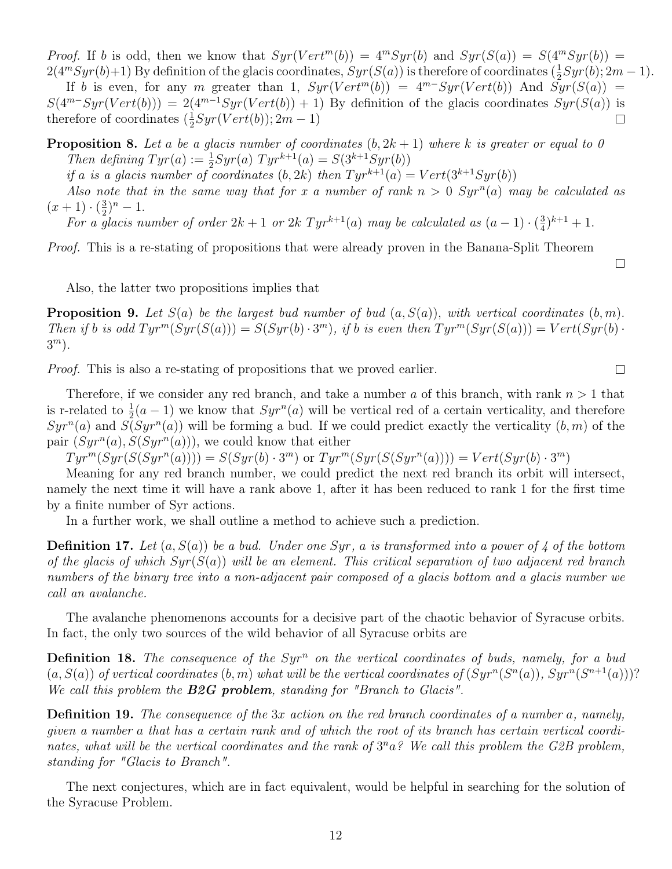*Proof.* If b is odd, then we know that  $Syr(Vert^m(b)) = 4^mSyr(b)$  and  $Syr(S(a)) = S(4^mSyr(b)) =$  $2(4^mSyr(b)+1)$  By definition of the glacis coordinates,  $Syr(S(a))$  is therefore of coordinates  $(\frac{1}{2})$  $\frac{1}{2}Syr(b); 2m-1).$ 

If b is even, for any m greater than 1,  $Syr(Vert^m(b)) = 4^{m}Syr(Vert(b))$  And  $Syr(S(a)) =$  $S(4^{m-S}yr(Vertb))) = 2(4^{m-1}Syr(Vertb)) + 1$  By definition of the glacis coordinates  $Syr(S(a))$  is therefore of coordinates  $(\frac{1}{2})$  $\frac{1}{2}Syr(Vert(b)); 2m-1)$  $\Box$ 

**Proposition 8.** Let a be a glacis number of coordinates  $(b, 2k + 1)$  where k is greater or equal to 0 Then defining  $Tyr(a) := \frac{1}{2}Syr(a) Tyr^{k+1}(a) = S(3^{k+1}Syr(b))$ 

if a is a glacis number of coordinates  $(b, 2k)$  then  $Tyr^{k+1}(a) = Vert(3^{k+1}Syr(b))$ 

Also note that in the same way that for x a number of rank  $n > 0$   $Syr^n(a)$  may be calculated as  $(x+1)\cdot(\frac{3}{2})$  $(\frac{3}{2})^n-1.$ 

For a glacis number of order  $2k+1$  or  $2k$  Tyr<sup>k+1</sup>(a) may be calculated as  $(a-1) \cdot (\frac{3}{4})$  $(\frac{3}{4})^{k+1}+1.$ 

Proof. This is a re-stating of propositions that were already proven in the Banana-Split Theorem

Also, the latter two propositions implies that

**Proposition 9.** Let  $S(a)$  be the largest bud number of bud  $(a, S(a))$ , with vertical coordinates  $(b, m)$ . Then if b is odd  $Tyr^m(Syr(S(a))) = S(Syr(b) \cdot 3^m)$ , if b is even then  $Tyr^m(Syr(S(a))) = Vert(Syr(b) \cdot 3^m)$ .  $3^m$ ).

Proof. This is also a re-stating of propositions that we proved earlier.

Therefore, if we consider any red branch, and take a number a of this branch, with rank  $n > 1$  that is r-related to  $\frac{1}{2}(a-1)$  we know that  $Syr^n(a)$  will be vertical red of a certain verticality, and therefore  $Syr^n(a)$  and  $S(Syr^n(a))$  will be forming a bud. If we could predict exactly the verticality  $(b, m)$  of the pair  $(Syr^n(a), S(Syr^n(a)))$ , we could know that either

 $Tyr^m(Syr(S(Syr^n(a)))) = S(Syr(b) \cdot 3^m)$  or  $Tyr^m(Syr(S(Syr^n(a)))) = Vert(Syr(b) \cdot 3^m)$ 

Meaning for any red branch number, we could predict the next red branch its orbit will intersect, namely the next time it will have a rank above 1, after it has been reduced to rank 1 for the first time by a finite number of Syr actions.

In a further work, we shall outline a method to achieve such a prediction.

**Definition 17.** Let  $(a, S(a))$  be a bud. Under one Syr, a is transformed into a power of 4 of the bottom of the glacis of which  $Syr(S(a))$  will be an element. This critical separation of two adjacent red branch numbers of the binary tree into a non-adjacent pair composed of a glacis bottom and a glacis number we call an avalanche.

The avalanche phenomenons accounts for a decisive part of the chaotic behavior of Syracuse orbits. In fact, the only two sources of the wild behavior of all Syracuse orbits are

**Definition 18.** The consequence of the  $Syr^n$  on the vertical coordinates of buds, namely, for a bud  $(a, S(a))$  of vertical coordinates  $(b, m)$  what will be the vertical coordinates of  $(Syr^n(S^n(a)), Syr^n(S^{n+1}(a)))$ ? We call this problem the **B2G problem**, standing for "Branch to Glacis".

Definition 19. The consequence of the 3x action on the red branch coordinates of a number a, namely, given a number a that has a certain rank and of which the root of its branch has certain vertical coordinates, what will be the vertical coordinates and the rank of  $3^n a$ ? We call this problem the G2B problem, standing for "Glacis to Branch".

The next conjectures, which are in fact equivalent, would be helpful in searching for the solution of the Syracuse Problem.

 $\Box$ 

 $\Box$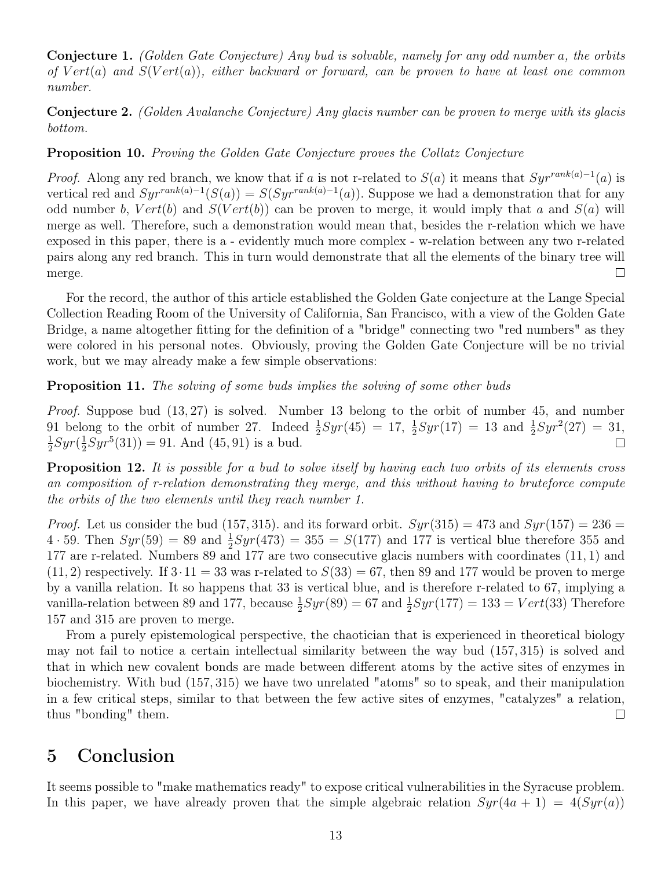Conjecture 1. (Golden Gate Conjecture) Any bud is solvable, namely for any odd number a, the orbits of  $Vert(a)$  and  $S(Vert(a))$ , either backward or forward, can be proven to have at least one common number.

Conjecture 2. (Golden Avalanche Conjecture) Any glacis number can be proven to merge with its glacis bottom.

#### Proposition 10. Proving the Golden Gate Conjecture proves the Collatz Conjecture

*Proof.* Along any red branch, we know that if a is not r-related to  $S(a)$  it means that  $Syr^{rank(a)-1}(a)$  is vertical red and  $Syr^{rank(a)-1}(S(a)) = S(Syr^{rank(a)-1}(a))$ . Suppose we had a demonstration that for any odd number b,  $Vert(b)$  and  $S(Vert(b))$  can be proven to merge, it would imply that a and  $S(a)$  will merge as well. Therefore, such a demonstration would mean that, besides the r-relation which we have exposed in this paper, there is a - evidently much more complex - w-relation between any two r-related pairs along any red branch. This in turn would demonstrate that all the elements of the binary tree will  $\Box$ merge.

For the record, the author of this article established the Golden Gate conjecture at the Lange Special Collection Reading Room of the University of California, San Francisco, with a view of the Golden Gate Bridge, a name altogether fitting for the definition of a "bridge" connecting two "red numbers" as they were colored in his personal notes. Obviously, proving the Golden Gate Conjecture will be no trivial work, but we may already make a few simple observations:

#### Proposition 11. The solving of some buds implies the solving of some other buds

*Proof.* Suppose bud  $(13, 27)$  is solved. Number 13 belong to the orbit of number 45, and number 91 belong to the orbit of number 27. Indeed  $\frac{1}{2}Syr(45) = 17, \frac{1}{2}$  $\frac{1}{2}Syr(17) = 13$  and  $\frac{1}{2}Syr^2(27) = 31$ , 1  $rac{1}{2}Syr(\frac{1}{2}$  $\frac{1}{2}Syr^5(31)) = 91.$  And  $(45, 91)$  is a bud.  $\Box$ 

**Proposition 12.** It is possible for a bud to solve itself by having each two orbits of its elements cross an composition of r-relation demonstrating they merge, and this without having to bruteforce compute the orbits of the two elements until they reach number 1.

*Proof.* Let us consider the bud (157, 315). and its forward orbit.  $Syr(315) = 473$  and  $Syr(157) = 236$  $4 \cdot 59$ . Then  $Syr(59) = 89$  and  $\frac{1}{2}Syr(473) = 355 = S(177)$  and 177 is vertical blue therefore 355 and 177 are r-related. Numbers 89 and 177 are two consecutive glacis numbers with coordinates (11, 1) and  $(11, 2)$  respectively. If  $3 \cdot 11 = 33$  was r-related to  $S(33) = 67$ , then 89 and 177 would be proven to merge by a vanilla relation. It so happens that 33 is vertical blue, and is therefore r-related to 67, implying a vanilla-relation between 89 and 177, because  $\frac{1}{2}Syr(89) = 67$  and  $\frac{1}{2}Syr(177) = 133 = Vert(33)$  Therefore 157 and 315 are proven to merge.

From a purely epistemological perspective, the chaotician that is experienced in theoretical biology may not fail to notice a certain intellectual similarity between the way bud (157, 315) is solved and that in which new covalent bonds are made between different atoms by the active sites of enzymes in biochemistry. With bud (157, 315) we have two unrelated "atoms" so to speak, and their manipulation in a few critical steps, similar to that between the few active sites of enzymes, "catalyzes" a relation, thus "bonding" them.  $\Box$ 

# 5 Conclusion

It seems possible to "make mathematics ready" to expose critical vulnerabilities in the Syracuse problem. In this paper, we have already proven that the simple algebraic relation  $Syr(4a + 1) = 4(Syr(a))$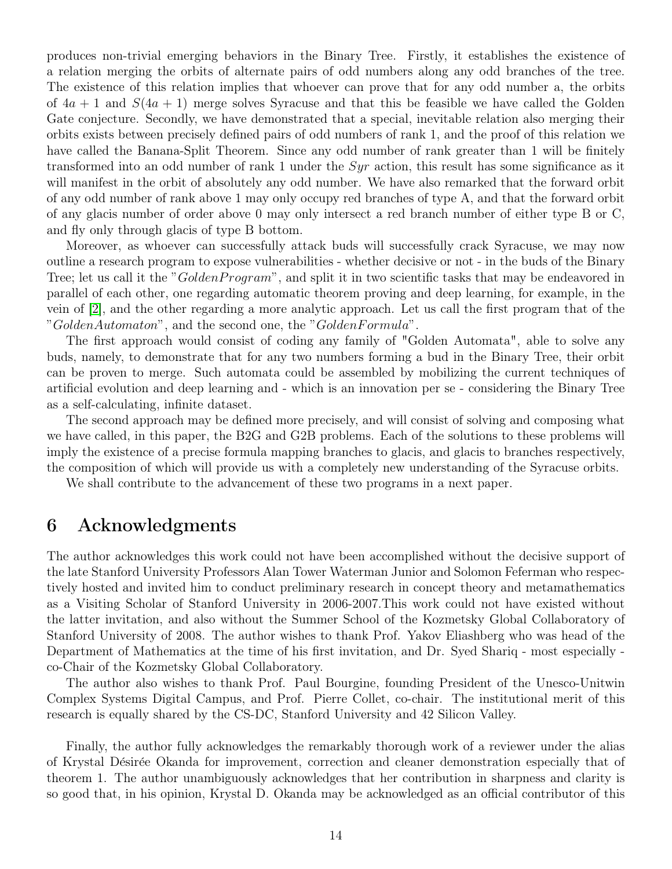produces non-trivial emerging behaviors in the Binary Tree. Firstly, it establishes the existence of a relation merging the orbits of alternate pairs of odd numbers along any odd branches of the tree. The existence of this relation implies that whoever can prove that for any odd number a, the orbits of  $4a + 1$  and  $S(4a + 1)$  merge solves Syracuse and that this be feasible we have called the Golden Gate conjecture. Secondly, we have demonstrated that a special, inevitable relation also merging their orbits exists between precisely defined pairs of odd numbers of rank 1, and the proof of this relation we have called the Banana-Split Theorem. Since any odd number of rank greater than 1 will be finitely transformed into an odd number of rank 1 under the  $Syr$  action, this result has some significance as it will manifest in the orbit of absolutely any odd number. We have also remarked that the forward orbit of any odd number of rank above 1 may only occupy red branches of type A, and that the forward orbit of any glacis number of order above 0 may only intersect a red branch number of either type B or C, and fly only through glacis of type B bottom.

Moreover, as whoever can successfully attack buds will successfully crack Syracuse, we may now outline a research program to expose vulnerabilities - whether decisive or not - in the buds of the Binary Tree; let us call it the "GoldenProgram", and split it in two scientific tasks that may be endeavored in parallel of each other, one regarding automatic theorem proving and deep learning, for example, in the vein of [\[2\]](#page-14-1), and the other regarding a more analytic approach. Let us call the first program that of the "GoldenAutomaton", and the second one, the "GoldenFormula".

The first approach would consist of coding any family of "Golden Automata", able to solve any buds, namely, to demonstrate that for any two numbers forming a bud in the Binary Tree, their orbit can be proven to merge. Such automata could be assembled by mobilizing the current techniques of artificial evolution and deep learning and - which is an innovation per se - considering the Binary Tree as a self-calculating, infinite dataset.

The second approach may be defined more precisely, and will consist of solving and composing what we have called, in this paper, the B2G and G2B problems. Each of the solutions to these problems will imply the existence of a precise formula mapping branches to glacis, and glacis to branches respectively, the composition of which will provide us with a completely new understanding of the Syracuse orbits.

We shall contribute to the advancement of these two programs in a next paper.

# 6 Acknowledgments

The author acknowledges this work could not have been accomplished without the decisive support of the late Stanford University Professors Alan Tower Waterman Junior and Solomon Feferman who respectively hosted and invited him to conduct preliminary research in concept theory and metamathematics as a Visiting Scholar of Stanford University in 2006-2007.This work could not have existed without the latter invitation, and also without the Summer School of the Kozmetsky Global Collaboratory of Stanford University of 2008. The author wishes to thank Prof. Yakov Eliashberg who was head of the Department of Mathematics at the time of his first invitation, and Dr. Syed Shariq - most especially co-Chair of the Kozmetsky Global Collaboratory.

The author also wishes to thank Prof. Paul Bourgine, founding President of the Unesco-Unitwin Complex Systems Digital Campus, and Prof. Pierre Collet, co-chair. The institutional merit of this research is equally shared by the CS-DC, Stanford University and 42 Silicon Valley.

Finally, the author fully acknowledges the remarkably thorough work of a reviewer under the alias of Krystal Désirée Okanda for improvement, correction and cleaner demonstration especially that of theorem 1. The author unambiguously acknowledges that her contribution in sharpness and clarity is so good that, in his opinion, Krystal D. Okanda may be acknowledged as an official contributor of this